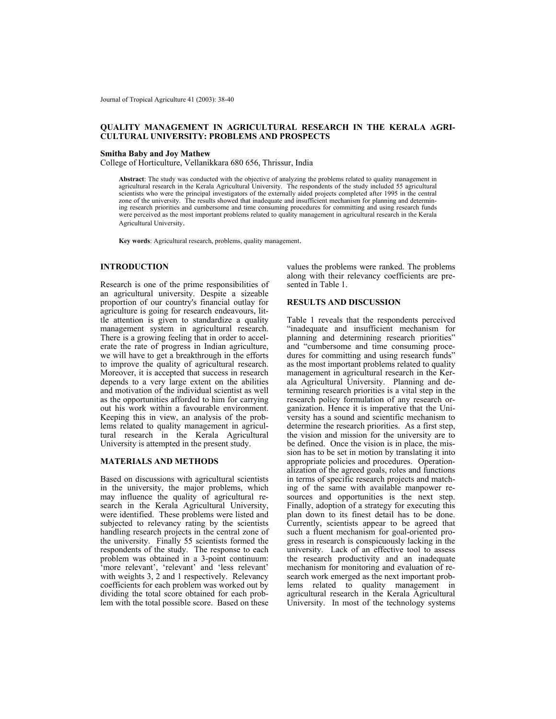Journal of Tropical Agriculture 41 (2003): 38-40

# **QUALITY MANAGEMENT IN AGRICULTURAL RESEARCH IN THE KERALA AGRI-CULTURAL UNIVERSITY: PROBLEMS AND PROSPECTS**

#### **Smitha Baby and Joy Mathew**

College of Horticulture, Vellanikkara 680 656, Thrissur, India

**Abstract**: The study was conducted with the objective of analyzing the problems related to quality management in agricultural research in the Kerala Agricultural University. The respondents of the study included 55 agricultural scientists who were the principal investigators of the externally aided projects completed after 1995 in the central zone of the university. The results showed that inadequate and insufficient mechanism for planning and determining research priorities and cumbersome and time consuming procedures for committing and using research funds were perceived as the most important problems related to quality management in agricultural research in the Kerala Agricultural University.

 **Key words**: Agricultural research, problems, quality management.

# **INTRODUCTION**

Research is one of the prime responsibilities of an agricultural university. Despite a sizeable proportion of our country's financial outlay for agriculture is going for research endeavours, little attention is given to standardize a quality management system in agricultural research. There is a growing feeling that in order to accelerate the rate of progress in Indian agriculture, we will have to get a breakthrough in the efforts to improve the quality of agricultural research. Moreover, it is accepted that success in research depends to a very large extent on the abilities and motivation of the individual scientist as well as the opportunities afforded to him for carrying out his work within a favourable environment. Keeping this in view, an analysis of the problems related to quality management in agricultural research in the Kerala Agricultural University is attempted in the present study.

#### **MATERIALS AND METHODS**

Based on discussions with agricultural scientists in the university, the major problems, which may influence the quality of agricultural research in the Kerala Agricultural University, were identified. These problems were listed and subjected to relevancy rating by the scientists handling research projects in the central zone of the university. Finally 55 scientists formed the respondents of the study. The response to each problem was obtained in a 3-point continuum: 'more relevant', 'relevant' and 'less relevant' with weights 3, 2 and 1 respectively. Relevancy coefficients for each problem was worked out by dividing the total score obtained for each problem with the total possible score. Based on these

values the problems were ranked. The problems along with their relevancy coefficients are presented in Table 1.

## **RESULTS AND DISCUSSION**

Table 1 reveals that the respondents perceived "inadequate and insufficient mechanism for planning and determining research priorities" and "cumbersome and time consuming procedures for committing and using research funds" as the most important problems related to quality management in agricultural research in the Kerala Agricultural University. Planning and determining research priorities is a vital step in the research policy formulation of any research organization. Hence it is imperative that the University has a sound and scientific mechanism to determine the research priorities. As a first step, the vision and mission for the university are to be defined. Once the vision is in place, the mission has to be set in motion by translating it into appropriate policies and procedures. Operationalization of the agreed goals, roles and functions in terms of specific research projects and matching of the same with available manpower resources and opportunities is the next step. Finally, adoption of a strategy for executing this plan down to its finest detail has to be done. Currently, scientists appear to be agreed that such a fluent mechanism for goal-oriented progress in research is conspicuously lacking in the university. Lack of an effective tool to assess the research productivity and an inadequate mechanism for monitoring and evaluation of research work emerged as the next important problems related to quality management in agricultural research in the Kerala Agricultural University. In most of the technology systems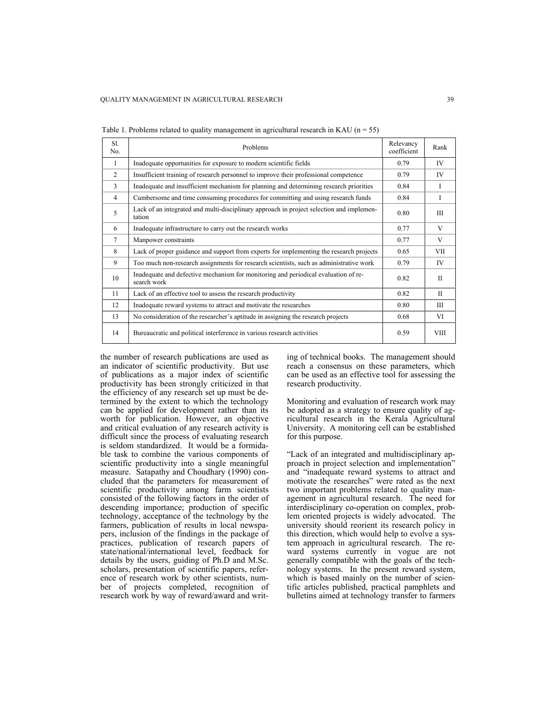| Sl.<br>No.     | Problems                                                                                           | Relevancy<br>coefficient | Rank         |
|----------------|----------------------------------------------------------------------------------------------------|--------------------------|--------------|
| 1              | Inadequate opportunities for exposure to modern scientific fields                                  | 0.79                     | IV           |
| 2              | Insufficient training of research personnel to improve their professional competence               | 0.79                     | IV           |
| 3              | Inadequate and insufficient mechanism for planning and determining research priorities             | 0.84                     | I            |
| $\overline{4}$ | Cumbersome and time consuming procedures for committing and using research funds                   | 0.84                     | Ι            |
| 5              | Lack of an integrated and multi-disciplinary approach in project selection and implemen-<br>tation | 0.80                     | III          |
| 6              | Inadequate infrastructure to carry out the research works                                          | 0.77                     | V            |
| $\overline{7}$ | Manpower constraints                                                                               | 0.77                     | V            |
| 8              | Lack of proper guidance and support from experts for implementing the research projects            | 0.65                     | VII          |
| 9              | Too much non-research assignments for research scientists, such as administrative work             | 0.79                     | IV           |
| 10             | Inadequate and defective mechanism for monitoring and periodical evaluation of re-<br>search work  | 0.82                     | $\mathbf{I}$ |
| 11             | Lack of an effective tool to assess the research productivity                                      | 0.82                     | $\mathbf{H}$ |
| 12             | Inadequate reward systems to attract and motivate the researches                                   | 0.80                     | Ш            |
| 13             | No consideration of the researcher's aptitude in assigning the research projects                   | 0.68                     | VI           |
| 14             | Bureaucratic and political interference in various research activities                             | 0.59                     | <b>VIII</b>  |

Table 1. Problems related to quality management in agricultural research in KAU ( $n = 55$ )

the number of research publications are used as an indicator of scientific productivity. But use of publications as a major index of scientific productivity has been strongly criticized in that the efficiency of any research set up must be determined by the extent to which the technology can be applied for development rather than its worth for publication. However, an objective and critical evaluation of any research activity is difficult since the process of evaluating research is seldom standardized. It would be a formidable task to combine the various components of scientific productivity into a single meaningful measure. Satapathy and Choudhary (1990) concluded that the parameters for measurement of scientific productivity among farm scientists consisted of the following factors in the order of descending importance; production of specific technology, acceptance of the technology by the farmers, publication of results in local newspapers, inclusion of the findings in the package of practices, publication of research papers of state/national/international level, feedback for details by the users, guiding of Ph.D and M.Sc. scholars, presentation of scientific papers, reference of research work by other scientists, number of projects completed, recognition of research work by way of reward/award and writing of technical books. The management should reach a consensus on these parameters, which can be used as an effective tool for assessing the research productivity.

Monitoring and evaluation of research work may be adopted as a strategy to ensure quality of agricultural research in the Kerala Agricultural University. A monitoring cell can be established for this purpose.

"Lack of an integrated and multidisciplinary approach in project selection and implementation" and "inadequate reward systems to attract and motivate the researches" were rated as the next two important problems related to quality management in agricultural research. The need for interdisciplinary co-operation on complex, problem oriented projects is widely advocated. The university should reorient its research policy in this direction, which would help to evolve a system approach in agricultural research. The reward systems currently in vogue are not generally compatible with the goals of the technology systems. In the present reward system, which is based mainly on the number of scientific articles published, practical pamphlets and bulletins aimed at technology transfer to farmers